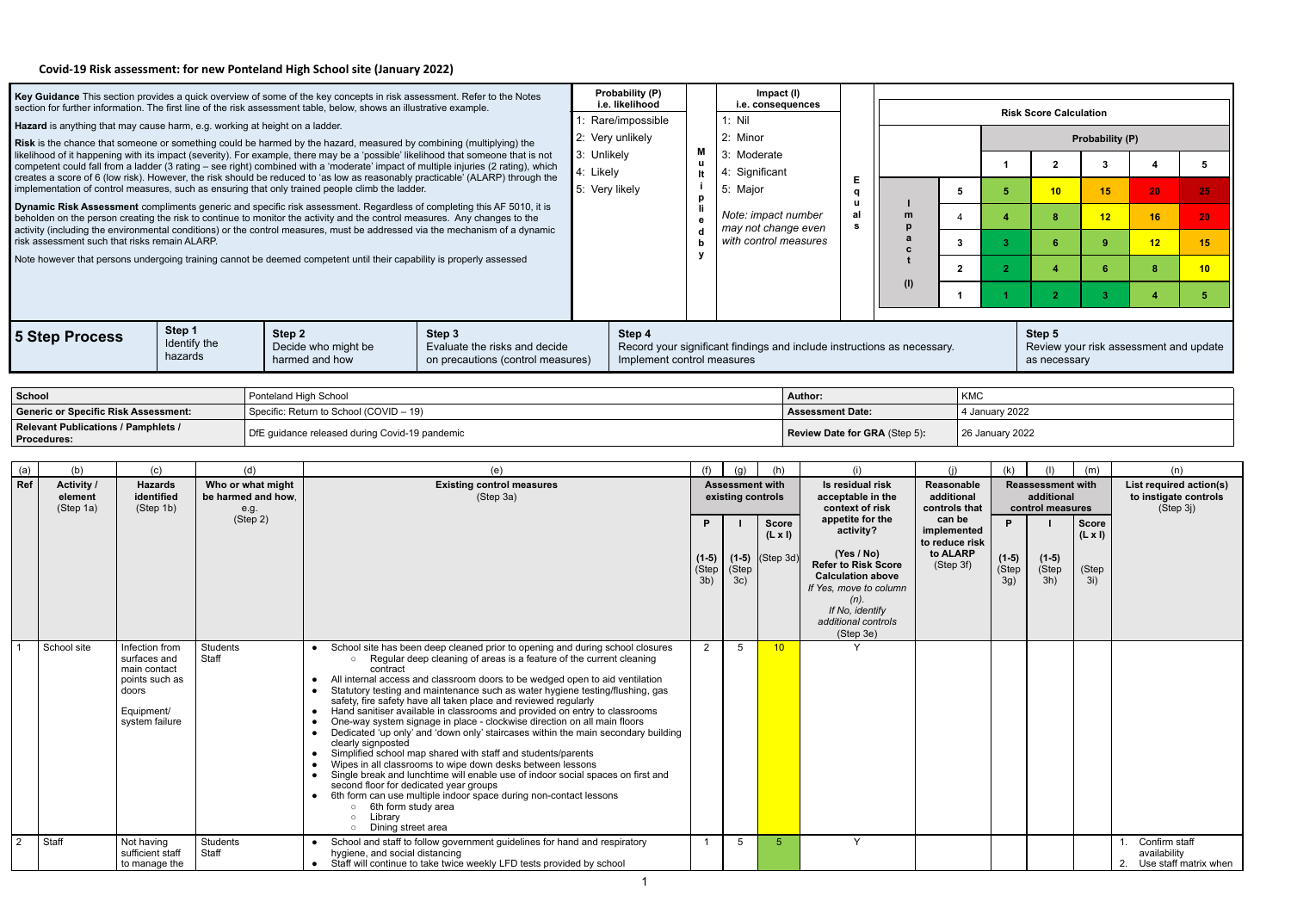## **Covid-19 Risk assessment: for new Ponteland High School site (January 2022)**

|                                                                                                                                                                                                                        |                                                                                           |                                   |                   |                                         |                                                                                                                     | Key Guidance This section provides a quick overview of some of the key concepts in risk assessment. Refer to the Notes                                                                                                                                                  |             | Probability (P)                                                         |                                            |                                             | Impact (I)        |                         |                                                    |        |                               |                        |                                        |                |               |                                                  |
|------------------------------------------------------------------------------------------------------------------------------------------------------------------------------------------------------------------------|-------------------------------------------------------------------------------------------|-----------------------------------|-------------------|-----------------------------------------|---------------------------------------------------------------------------------------------------------------------|-------------------------------------------------------------------------------------------------------------------------------------------------------------------------------------------------------------------------------------------------------------------------|-------------|-------------------------------------------------------------------------|--------------------------------------------|---------------------------------------------|-------------------|-------------------------|----------------------------------------------------|--------|-------------------------------|------------------------|----------------------------------------|----------------|---------------|--------------------------------------------------|
|                                                                                                                                                                                                                        |                                                                                           |                                   |                   |                                         | section for further information. The first line of the risk assessment table, below, shows an illustrative example. |                                                                                                                                                                                                                                                                         |             | i.e. likelihood<br>Rare/impossible                                      |                                            | 1: Nil                                      | i.e. consequences |                         |                                                    |        |                               |                        | <b>Risk Score Calculation</b>          |                |               |                                                  |
| Hazard is anything that may cause harm, e.g. working at height on a ladder.<br>2: Very unlikely<br>Risk is the chance that someone or something could be harmed by the hazard, measured by combining (multiplying) the |                                                                                           |                                   |                   |                                         |                                                                                                                     |                                                                                                                                                                                                                                                                         |             | 2: Minor                                                                |                                            |                                             |                   |                         |                                                    |        | Probability (P)               |                        |                                        |                |               |                                                  |
|                                                                                                                                                                                                                        |                                                                                           |                                   |                   |                                         |                                                                                                                     | likelihood of it happening with its impact (severity). For example, there may be a 'possible' likelihood that someone that is not<br>competent could fall from a ladder (3 rating - see right) combined with a 'moderate' impact of multiple injuries (2 rating), which | 3: Unlikely |                                                                         | M<br><b>u</b>                              | 3: Moderate                                 |                   |                         |                                                    |        |                               | - 1                    | $\overline{2}$                         | $\mathbf{3}$   |               | $\sqrt{5}$                                       |
|                                                                                                                                                                                                                        |                                                                                           |                                   |                   |                                         | implementation of control measures, such as ensuring that only trained people climb the ladder.                     | creates a score of 6 (low risk). However, the risk should be reduced to 'as low as reasonably practicable' (ALARP) through the                                                                                                                                          | 4: Likely   | 5: Very likely                                                          | It                                         | 4: Significant<br>5: Major                  |                   |                         | Е                                                  |        | 5                             | 5                      | 10                                     | 15             | 20            | 25                                               |
|                                                                                                                                                                                                                        |                                                                                           |                                   |                   |                                         |                                                                                                                     | Dynamic Risk Assessment compliments generic and specific risk assessment. Regardless of completing this AF 5010, it is                                                                                                                                                  |             |                                                                         | p                                          |                                             |                   |                         | a<br>$\mathbf{u}$<br>al                            |        |                               |                        |                                        |                |               |                                                  |
|                                                                                                                                                                                                                        |                                                                                           |                                   |                   |                                         |                                                                                                                     | beholden on the person creating the risk to continue to monitor the activity and the control measures. Any changes to the<br>activity (including the environmental conditions) or the control measures, must be addressed via the mechanism of a dynamic                |             |                                                                         | Note: impact number<br>may not change even |                                             |                   |                         |                                                    | m<br>a | $\boldsymbol{\varDelta}$      | $\boldsymbol{\Lambda}$ | 8                                      | 12             | 16            | 20                                               |
|                                                                                                                                                                                                                        | risk assessment such that risks remain ALARP.                                             |                                   |                   |                                         |                                                                                                                     | Note however that persons undergoing training cannot be deemed competent until their capability is properly assessed                                                                                                                                                    |             |                                                                         | with control measures<br>y                 |                                             |                   |                         |                                                    | C      | $\mathbf{3}$                  | $\mathbf{3}$           | 6                                      | -9             | 12            | 15                                               |
|                                                                                                                                                                                                                        |                                                                                           |                                   |                   |                                         |                                                                                                                     |                                                                                                                                                                                                                                                                         |             |                                                                         |                                            |                                             |                   |                         |                                                    | (1)    | $\mathbf{2}$                  | $\overline{2}$         | $\boldsymbol{\Lambda}$                 | 6              | 8             | 10                                               |
|                                                                                                                                                                                                                        |                                                                                           |                                   |                   |                                         |                                                                                                                     |                                                                                                                                                                                                                                                                         |             |                                                                         |                                            |                                             |                   |                         |                                                    |        | $\mathbf 1$                   |                        | $\mathbf{2}$                           | $\mathbf{3}$   |               | 5 <sub>5</sub>                                   |
|                                                                                                                                                                                                                        |                                                                                           | Step 1                            |                   | Step 2                                  |                                                                                                                     | Step 3                                                                                                                                                                                                                                                                  |             | Step 4                                                                  |                                            |                                             |                   |                         |                                                    |        |                               |                        | Step 5                                 |                |               |                                                  |
|                                                                                                                                                                                                                        | 5 Step Process                                                                            | Identify the<br>hazards           |                   |                                         | Decide who might be                                                                                                 | Evaluate the risks and decide                                                                                                                                                                                                                                           |             | Record your significant findings and include instructions as necessary. |                                            |                                             |                   |                         |                                                    |        |                               |                        |                                        |                |               | Review your risk assessment and update           |
|                                                                                                                                                                                                                        |                                                                                           |                                   |                   |                                         | harmed and how                                                                                                      | on precautions (control measures)                                                                                                                                                                                                                                       |             | Implement control measures                                              |                                            |                                             |                   |                         |                                                    |        |                               |                        | as necessary                           |                |               |                                                  |
| <b>School</b>                                                                                                                                                                                                          |                                                                                           |                                   |                   | Ponteland High School                   |                                                                                                                     |                                                                                                                                                                                                                                                                         |             |                                                                         |                                            |                                             |                   | <b>Author:</b>          |                                                    |        | <b>KMC</b>                    |                        |                                        |                |               |                                                  |
|                                                                                                                                                                                                                        | <b>Generic or Specific Risk Assessment:</b><br><b>Relevant Publications / Pamphlets /</b> |                                   |                   |                                         | Specific: Return to School (COVID - 19)                                                                             |                                                                                                                                                                                                                                                                         |             |                                                                         |                                            |                                             |                   | <b>Assessment Date:</b> |                                                    |        |                               | 4 January 2022         |                                        |                |               |                                                  |
|                                                                                                                                                                                                                        | <b>Procedures:</b>                                                                        |                                   |                   |                                         | DfE guidance released during Covid-19 pandemic                                                                      |                                                                                                                                                                                                                                                                         |             |                                                                         |                                            |                                             |                   |                         | Review Date for GRA (Step 5):                      |        |                               | 26 January 2022        |                                        |                |               |                                                  |
| (a)                                                                                                                                                                                                                    | (b)                                                                                       | (c)                               |                   | (d)                                     |                                                                                                                     | (e)                                                                                                                                                                                                                                                                     |             |                                                                         | (f)                                        | (g)                                         | (h)               |                         | (i)                                                |        | (i)                           | (k)                    |                                        | (m)            |               | (n)                                              |
| Ref                                                                                                                                                                                                                    | <b>Activity /</b><br>element                                                              | <b>Hazards</b><br>identified      |                   | Who or what might<br>be harmed and how, |                                                                                                                     | <b>Existing control measures</b><br>(Step 3a)                                                                                                                                                                                                                           |             |                                                                         |                                            | <b>Assessment with</b><br>existing controls |                   |                         | Is residual risk<br>acceptable in the              |        | Reasonable<br>additional      |                        | <b>Reassessment with</b><br>additional |                |               | List required action(s)<br>to instigate controls |
|                                                                                                                                                                                                                        | (Step 1a)                                                                                 | (Step 1b)                         |                   | e.g.<br>(Stop 2)                        |                                                                                                                     |                                                                                                                                                                                                                                                                         |             |                                                                         | P.                                         |                                             | <b>Score</b>      |                         | context of risk<br>appetite for the                |        | controls that<br>can be       | D                      | control measures                       | <b>Score</b>   |               | (Step 3j)                                        |
|                                                                                                                                                                                                                        |                                                                                           |                                   |                   |                                         |                                                                                                                     |                                                                                                                                                                                                                                                                         |             |                                                                         |                                            |                                             | $(L \times I)$    |                         | activity?                                          |        | implemented<br>to reduce risk |                        |                                        | $(L \times I)$ |               |                                                  |
|                                                                                                                                                                                                                        |                                                                                           |                                   |                   |                                         |                                                                                                                     |                                                                                                                                                                                                                                                                         |             |                                                                         | (Step                                      | $(1-5)$ $(1-5)$ $(Stop 3d)$<br>(Step        |                   |                         | (Yes / No)<br><b>Refer to Risk Score</b>           |        | to ALARP<br>(Step 3f)         | $(1-5)$<br>(Step       | $(1-5)$<br>(Step                       | (Step          |               |                                                  |
|                                                                                                                                                                                                                        |                                                                                           |                                   |                   |                                         |                                                                                                                     |                                                                                                                                                                                                                                                                         |             |                                                                         | $3b$ )                                     | 3c)                                         |                   |                         | <b>Calculation above</b><br>If Yes, move to column |        |                               | 3g)                    | 3h)                                    | 3i)            |               |                                                  |
|                                                                                                                                                                                                                        |                                                                                           |                                   |                   |                                         |                                                                                                                     |                                                                                                                                                                                                                                                                         |             |                                                                         |                                            |                                             |                   |                         | $(n)$ .<br>If No, identify                         |        |                               |                        |                                        |                |               |                                                  |
|                                                                                                                                                                                                                        |                                                                                           |                                   |                   |                                         |                                                                                                                     |                                                                                                                                                                                                                                                                         |             |                                                                         |                                            |                                             |                   |                         | additional controls<br>(Step 3e)                   |        |                               |                        |                                        |                |               |                                                  |
|                                                                                                                                                                                                                        | School site                                                                               | Infection from<br>surfaces and    | Students<br>Staff |                                         |                                                                                                                     | School site has been deep cleaned prior to opening and during school closures<br>○ Regular deep cleaning of areas is a feature of the current cleaning                                                                                                                  |             |                                                                         | $\overline{2}$                             | 5                                           | 10 <sup>1</sup>   |                         |                                                    |        |                               |                        |                                        |                |               |                                                  |
|                                                                                                                                                                                                                        |                                                                                           | main contact<br>points such as    |                   |                                         | contract<br>$\bullet$                                                                                               | All internal access and classroom doors to be wedged open to aid ventilation                                                                                                                                                                                            |             |                                                                         |                                            |                                             |                   |                         |                                                    |        |                               |                        |                                        |                |               |                                                  |
|                                                                                                                                                                                                                        |                                                                                           | doors<br>Equipment/               |                   |                                         |                                                                                                                     | Statutory testing and maintenance such as water hygiene testing/flushing, gas<br>safety, fire safety have all taken place and reviewed regularly<br>Hand sanitiser available in classrooms and provided on entry to classrooms                                          |             |                                                                         |                                            |                                             |                   |                         |                                                    |        |                               |                        |                                        |                |               |                                                  |
|                                                                                                                                                                                                                        |                                                                                           | system failure                    |                   |                                         | $\bullet$                                                                                                           | One-way system signage in place - clockwise direction on all main floors<br>Dedicated 'up only' and 'down only' staircases within the main secondary building                                                                                                           |             |                                                                         |                                            |                                             |                   |                         |                                                    |        |                               |                        |                                        |                |               |                                                  |
|                                                                                                                                                                                                                        |                                                                                           |                                   |                   |                                         | clearly signposted                                                                                                  | Simplified school map shared with staff and students/parents                                                                                                                                                                                                            |             |                                                                         |                                            |                                             |                   |                         |                                                    |        |                               |                        |                                        |                |               |                                                  |
|                                                                                                                                                                                                                        |                                                                                           |                                   |                   |                                         |                                                                                                                     | Wipes in all classrooms to wipe down desks between lessons<br>Single break and lunchtime will enable use of indoor social spaces on first and                                                                                                                           |             |                                                                         |                                            |                                             |                   |                         |                                                    |        |                               |                        |                                        |                |               |                                                  |
|                                                                                                                                                                                                                        |                                                                                           |                                   |                   |                                         |                                                                                                                     | second floor for dedicated year groups<br>6th form can use multiple indoor space during non-contact lessons                                                                                                                                                             |             |                                                                         |                                            |                                             |                   |                         |                                                    |        |                               |                        |                                        |                |               |                                                  |
|                                                                                                                                                                                                                        |                                                                                           |                                   |                   |                                         | $\circ$ 6th form study area<br>Library<br>$\circ$<br>Dining street area                                             |                                                                                                                                                                                                                                                                         |             |                                                                         |                                            |                                             |                   |                         |                                                    |        |                               |                        |                                        |                |               |                                                  |
| $\overline{2}$                                                                                                                                                                                                         | Staff                                                                                     | Not having                        | Students          |                                         | $\circ$                                                                                                             | School and staff to follow government guidelines for hand and respiratory                                                                                                                                                                                               |             |                                                                         |                                            | 5                                           | -5                |                         | Y                                                  |        |                               |                        |                                        |                | Confirm staff |                                                  |
|                                                                                                                                                                                                                        |                                                                                           | sufficient staff<br>to manage the | Staff             |                                         | hygiene, and social distancing                                                                                      | • Staff will continue to take twice weekly LFD tests provided by school                                                                                                                                                                                                 |             |                                                                         |                                            |                                             |                   |                         |                                                    |        |                               |                        |                                        |                | availability  | 2. Use staff matrix when                         |

1

|       | doors<br>Equipment/<br>system failure           |                   | Statutory testing and maintenance such as water hygiene testing/flushing, gas<br>safety, fire safety have all taken place and reviewed regularly<br>Hand sanitiser available in classrooms and provided on entry to classrooms<br>One-way system signage in place - clockwise direction on all main floors<br>Dedicated 'up only' and 'down only' staircases within the main secondary building<br>clearly signposted<br>Simplified school map shared with staff and students/parents<br>Wipes in all classrooms to wipe down desks between lessons<br>Single break and lunchtime will enable use of indoor social spaces on first and<br>second floor for dedicated year groups<br>6th form can use multiple indoor space during non-contact lessons<br>6th form study area<br>_ıbrary<br>Dining street area |  |  |  |
|-------|-------------------------------------------------|-------------------|---------------------------------------------------------------------------------------------------------------------------------------------------------------------------------------------------------------------------------------------------------------------------------------------------------------------------------------------------------------------------------------------------------------------------------------------------------------------------------------------------------------------------------------------------------------------------------------------------------------------------------------------------------------------------------------------------------------------------------------------------------------------------------------------------------------|--|--|--|
| Staff | Not having<br>sufficient staff<br>to manage the | Students<br>Staff | School and staff to follow government guidelines for hand and respiratory<br>hygiene, and social distancing<br>Staff will continue to take twice weekly LFD tests provided by school                                                                                                                                                                                                                                                                                                                                                                                                                                                                                                                                                                                                                          |  |  |  |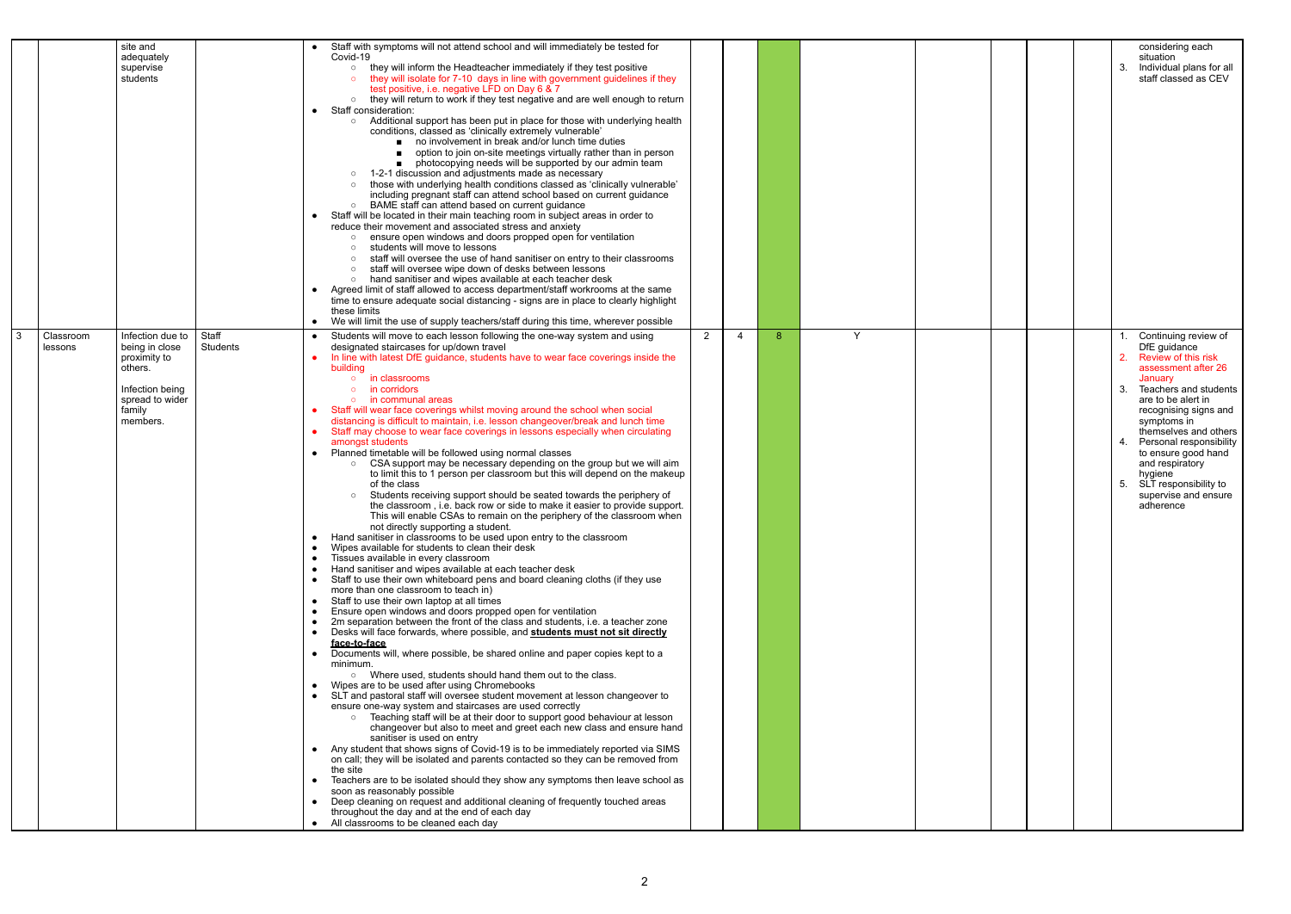|                                        | site and<br>adequately<br>supervise<br>students                                                                           |                   | $\bullet$ | Staff with symptoms will not attend school and will immediately be tested for<br>Covid-19<br>they will inform the Headteacher immediately if they test positive<br>$\circ$<br>they will isolate for 7-10 days in line with government guidelines if they<br>test positive, i.e. negative LFD on Day 6 & 7<br>o they will return to work if they test negative and are well enough to return<br>Staff consideration:<br>Additional support has been put in place for those with underlying health<br>$\circ$<br>conditions, classed as 'clinically extremely vulnerable'<br>■ no involvement in break and/or lunch time duties<br>option to join on-site meetings virtually rather than in person<br>photocopying needs will be supported by our admin team<br>1-2-1 discussion and adjustments made as necessary<br>those with underlying health conditions classed as 'clinically vulnerable'<br>including pregnant staff can attend school based on current guidance<br>BAME staff can attend based on current guidance<br>$\circ$<br>Staff will be located in their main teaching room in subject areas in order to<br>reduce their movement and associated stress and anxiety<br>ensure open windows and doors propped open for ventilation<br>students will move to lessons<br>staff will oversee the use of hand sanitiser on entry to their classrooms<br>$\circ$<br>staff will oversee wipe down of desks between lessons<br>hand sanitiser and wipes available at each teacher desk<br>$\circ$<br>Agreed limit of staff allowed to access department/staff workrooms at the same<br>time to ensure adequate social distancing - signs are in place to clearly highlight<br>these limits<br>We will limit the use of supply teachers/staff during this time, wherever possible                                                                                                                                                                                                                                                                                                                                                                                                                                                                                                                                                                                                                                                                                                                                                                                                                                                                                                                                                                             |                |   |   |   |  |
|----------------------------------------|---------------------------------------------------------------------------------------------------------------------------|-------------------|-----------|--------------------------------------------------------------------------------------------------------------------------------------------------------------------------------------------------------------------------------------------------------------------------------------------------------------------------------------------------------------------------------------------------------------------------------------------------------------------------------------------------------------------------------------------------------------------------------------------------------------------------------------------------------------------------------------------------------------------------------------------------------------------------------------------------------------------------------------------------------------------------------------------------------------------------------------------------------------------------------------------------------------------------------------------------------------------------------------------------------------------------------------------------------------------------------------------------------------------------------------------------------------------------------------------------------------------------------------------------------------------------------------------------------------------------------------------------------------------------------------------------------------------------------------------------------------------------------------------------------------------------------------------------------------------------------------------------------------------------------------------------------------------------------------------------------------------------------------------------------------------------------------------------------------------------------------------------------------------------------------------------------------------------------------------------------------------------------------------------------------------------------------------------------------------------------------------------------------------------------------------------------------------------------------------------------------------------------------------------------------------------------------------------------------------------------------------------------------------------------------------------------------------------------------------------------------------------------------------------------------------------------------------------------------------------------------------------------------------------------------------------------------------|----------------|---|---|---|--|
| $\overline{3}$<br>Classroom<br>lessons | Infection due to<br>being in close<br>proximity to<br>others.<br>Infection being<br>spread to wider<br>family<br>members. | Staff<br>Students | $\bullet$ | Students will move to each lesson following the one-way system and using<br>designated staircases for up/down travel<br>In line with latest DfE guidance, students have to wear face coverings inside the<br>building<br>in classrooms<br>$\circ$<br>in corridors<br>in communal areas<br>Staff will wear face coverings whilst moving around the school when social<br>distancing is difficult to maintain, i.e. lesson changeover/break and lunch time<br>Staff may choose to wear face coverings in lessons especially when circulating<br>amongst students<br>Planned timetable will be followed using normal classes<br>CSA support may be necessary depending on the group but we will aim<br>$\circ$<br>to limit this to 1 person per classroom but this will depend on the makeup<br>of the class<br>Students receiving support should be seated towards the periphery of<br>the classroom, i.e. back row or side to make it easier to provide support.<br>This will enable CSAs to remain on the periphery of the classroom when<br>not directly supporting a student.<br>Hand sanitiser in classrooms to be used upon entry to the classroom<br>Wipes available for students to clean their desk<br>Tissues available in every classroom<br>Hand sanitiser and wipes available at each teacher desk<br>Staff to use their own whiteboard pens and board cleaning cloths (if they use<br>more than one classroom to teach in)<br>Staff to use their own laptop at all times<br>Ensure open windows and doors propped open for ventilation<br>2m separation between the front of the class and students, i.e. a teacher zone<br>Desks will face forwards, where possible, and <b>students must not sit directly</b><br>face-to-face<br>Documents will, where possible, be shared online and paper copies kept to a<br>minimum.<br>o Where used, students should hand them out to the class.<br>Wipes are to be used after using Chromebooks<br>SLT and pastoral staff will oversee student movement at lesson changeover to<br>ensure one-way system and staircases are used correctly<br>o Teaching staff will be at their door to support good behaviour at lesson<br>changeover but also to meet and greet each new class and ensure hand<br>sanitiser is used on entry<br>Any student that shows signs of Covid-19 is to be immediately reported via SIMS<br>on call; they will be isolated and parents contacted so they can be removed from<br>the site<br>Teachers are to be isolated should they show any symptoms then leave school as<br>soon as reasonably possible<br>Deep cleaning on request and additional cleaning of frequently touched areas<br>throughout the day and at the end of each day<br>• All classrooms to be cleaned each day | $\overline{2}$ | 4 | 8 | Y |  |

|   |  |  | 3.                         | considering each<br>situation<br>Individual plans for all<br>staff classed as CEV                                                                                                                                                                                                                                                                           |
|---|--|--|----------------------------|-------------------------------------------------------------------------------------------------------------------------------------------------------------------------------------------------------------------------------------------------------------------------------------------------------------------------------------------------------------|
| Y |  |  | 1.<br>2.<br>3.<br>4.<br>5. | Continuing review of<br>DfE guidance<br>Review of this risk<br>assessment after 26<br>January<br>Teachers and students<br>are to be alert in<br>recognising signs and<br>symptoms in<br>themselves and others<br>Personal responsibility<br>to ensure good hand<br>and respiratory<br>hygiene<br>SLT responsibility to<br>supervise and ensure<br>adherence |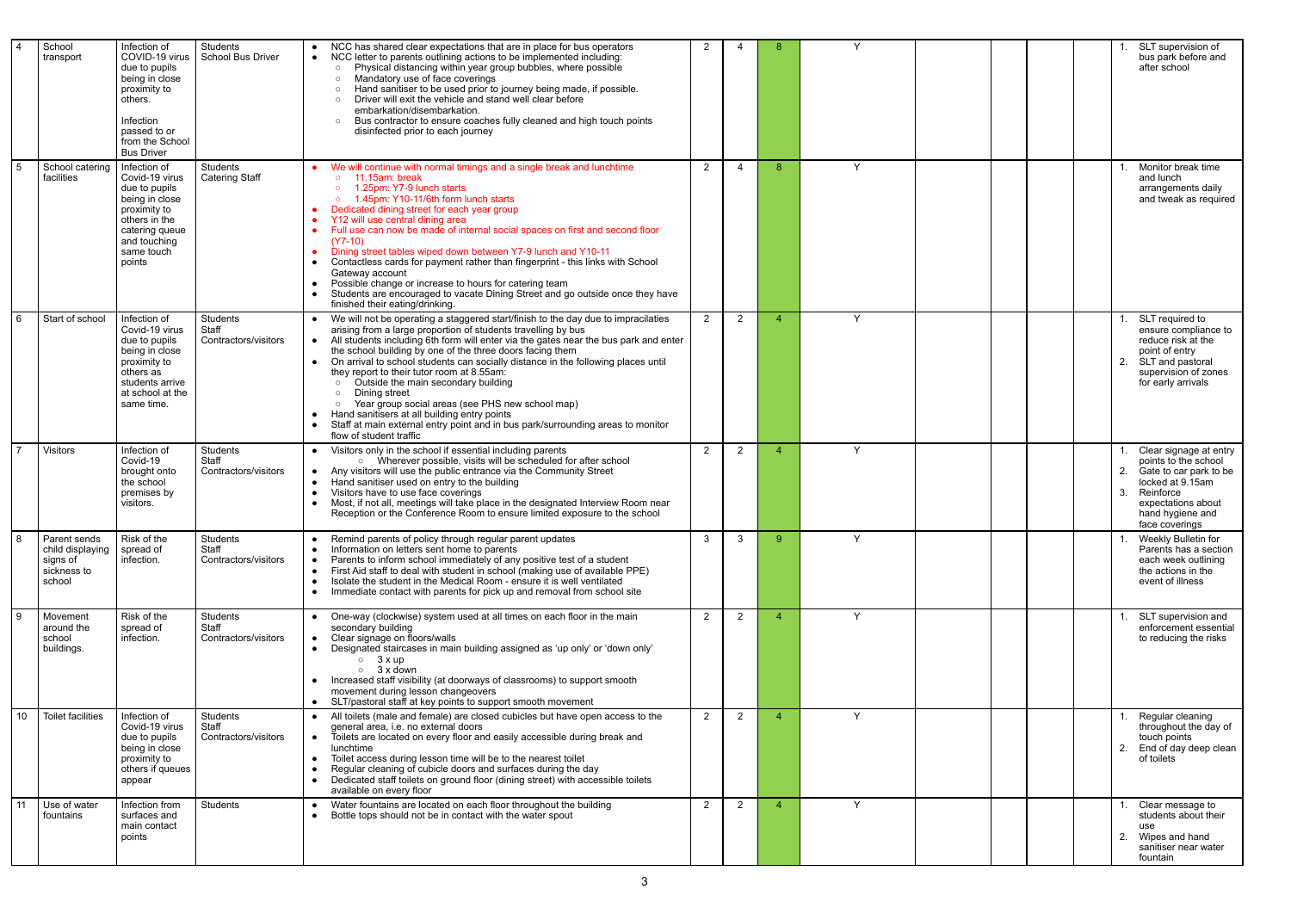| $\overline{4}$  | School<br>transport                                                   | Infection of<br>COVID-19 virus<br>due to pupils<br>being in close<br>proximity to<br>others.<br>Infection<br>passed to or<br>from the School<br><b>Bus Driver</b> | Students<br>School Bus Driver             | NCC has shared clear expectations that are in place for bus operators<br>NCC letter to parents outlining actions to be implemented including:<br>Physical distancing within year group bubbles, where possible<br>Mandatory use of face coverings<br>Hand sanitiser to be used prior to journey being made, if possible.<br>Driver will exit the vehicle and stand well clear before<br>embarkation/disembarkation.<br>Bus contractor to ensure coaches fully cleaned and high touch points<br>disinfected prior to each journey                                                                                                                                                                                                  | $\overline{2}$ | 4              | 8                        | $\checkmark$ |  | SLT supervision of<br>bus park before and<br>after school                                                                                                                         |
|-----------------|-----------------------------------------------------------------------|-------------------------------------------------------------------------------------------------------------------------------------------------------------------|-------------------------------------------|-----------------------------------------------------------------------------------------------------------------------------------------------------------------------------------------------------------------------------------------------------------------------------------------------------------------------------------------------------------------------------------------------------------------------------------------------------------------------------------------------------------------------------------------------------------------------------------------------------------------------------------------------------------------------------------------------------------------------------------|----------------|----------------|--------------------------|--------------|--|-----------------------------------------------------------------------------------------------------------------------------------------------------------------------------------|
| $5\overline{)}$ | School catering<br>facilities                                         | Infection of<br>Covid-19 virus<br>due to pupils<br>being in close<br>proximity to<br>others in the<br>catering queue<br>and touching<br>same touch<br>points      | <b>Students</b><br><b>Catering Staff</b>  | We will continue with normal timings and a single break and lunchtime<br>$\circ$ 11.15am: break<br>1.25pm: Y7-9 lunch starts<br>1.45pm: Y10-11/6th form lunch starts<br>Dedicated dining street for each year group<br>Y12 will use central dining area<br>Full use can now be made of internal social spaces on first and second floor<br>$(Y7-10)$<br>Dining street tables wiped down between Y7-9 lunch and Y10-11<br>Contactless cards for payment rather than fingerprint - this links with School<br>Gateway account<br>Possible change or increase to hours for catering team<br>Students are encouraged to vacate Dining Street and go outside once they have<br>finished their eating/drinking.                          | $\overline{2}$ | $\overline{4}$ | -8                       | $\checkmark$ |  | Monitor break time<br>and lunch<br>arrangements daily<br>and tweak as required                                                                                                    |
| $6\phantom{1}$  | Start of school                                                       | Infection of<br>Covid-19 virus<br>due to pupils<br>being in close<br>proximity to<br>others as<br>students arrive<br>at school at the<br>same time.               | Students<br>Staff<br>Contractors/visitors | We will not be operating a staggered start/finish to the day due to impracilaties<br>arising from a large proportion of students travelling by bus<br>All students including 6th form will enter via the gates near the bus park and enter<br>the school building by one of the three doors facing them<br>On arrival to school students can socially distance in the following places until<br>$\bullet$<br>they report to their tutor room at 8.55am:<br>Outside the main secondary building<br>Dining street<br>Year group social areas (see PHS new school map)<br>Hand sanitisers at all building entry points<br>Staff at main external entry point and in bus park/surrounding areas to monitor<br>flow of student traffic | $\overline{2}$ | $\overline{2}$ |                          | $\checkmark$ |  | SLT required to<br>ensure compliance to<br>reduce risk at the<br>point of entry<br>2.<br>SLT and pastoral<br>supervision of zones<br>for early arrivals                           |
| $\overline{7}$  | <b>Visitors</b>                                                       | Infection of<br>Covid-19<br>brought onto<br>the school<br>premises by<br>visitors.                                                                                | Students<br>Staff<br>Contractors/visitors | Visitors only in the school if essential including parents<br>o Wherever possible, visits will be scheduled for after school<br>Any visitors will use the public entrance via the Community Street<br>Hand sanitiser used on entry to the building<br>$\bullet$<br>Visitors have to use face coverings<br>Most, if not all, meetings will take place in the designated Interview Room near<br>Reception or the Conference Room to ensure limited exposure to the school                                                                                                                                                                                                                                                           | 2              | $\overline{2}$ |                          | $\checkmark$ |  | Clear signage at entry<br>points to the school<br>Gate to car park to be<br>2.<br>locked at 9.15am<br>Reinforce<br>3.<br>expectations about<br>hand hygiene and<br>face coverings |
| 8               | Parent sends<br>child displaying<br>signs of<br>sickness to<br>school | Risk of the<br>spread of<br>infection.                                                                                                                            | Students<br>Staff<br>Contractors/visitors | Remind parents of policy through regular parent updates<br>Information on letters sent home to parents<br>$\bullet$<br>Parents to inform school immediately of any positive test of a student<br>$\bullet$<br>First Aid staff to deal with student in school (making use of available PPE)<br>Isolate the student in the Medical Room - ensure it is well ventilated<br>$\bullet$<br>Immediate contact with parents for pick up and removal from school site                                                                                                                                                                                                                                                                      | 3              | 3              | $\mathbf{Q}$             | $\checkmark$ |  | Weekly Bulletin for<br>Parents has a section<br>each week outlining<br>the actions in the<br>event of illness                                                                     |
| 9               | Movement<br>around the<br>school<br>buildings.                        | Risk of the<br>spread of<br>infection.                                                                                                                            | Students<br>Staff<br>Contractors/visitors | One-way (clockwise) system used at all times on each floor in the main<br>secondary building<br>Clear signage on floors/walls<br>Designated staircases in main building assigned as 'up only' or 'down only'<br>$\circ$ 3 x up<br>3 x down<br>$\circ$<br>Increased staff visibility (at doorways of classrooms) to support smooth<br>movement during lesson changeovers<br>SLT/pastoral staff at key points to support smooth movement                                                                                                                                                                                                                                                                                            | $\overline{2}$ | 2              | $\boldsymbol{\varDelta}$ | Y            |  | SLT supervision and<br>enforcement essential<br>to reducing the risks                                                                                                             |
| 10              | <b>Toilet facilities</b>                                              | Infection of<br>Covid-19 virus<br>due to pupils<br>being in close<br>proximity to<br>others if queues<br>appear                                                   | Students<br>Staff<br>Contractors/visitors | All toilets (male and female) are closed cubicles but have open access to the<br>general area, i.e. no external doors<br>Toilets are located on every floor and easily accessible during break and<br>lunchtime<br>Toilet access during lesson time will be to the nearest toilet<br>Regular cleaning of cubicle doors and surfaces during the day<br>Dedicated staff toilets on ground floor (dining street) with accessible toilets<br>available on every floor                                                                                                                                                                                                                                                                 | $\overline{2}$ | $\overline{2}$ |                          | $\checkmark$ |  | Regular cleaning<br>throughout the day of<br>touch points<br>End of day deep clean<br>of toilets                                                                                  |
| 11              | Use of water<br>fountains                                             | Infection from<br>surfaces and<br>main contact<br>points                                                                                                          | Students                                  | Water fountains are located on each floor throughout the building<br>$\bullet$<br>Bottle tops should not be in contact with the water spout                                                                                                                                                                                                                                                                                                                                                                                                                                                                                                                                                                                       | $\overline{2}$ | $\overline{2}$ | $\Delta$                 | $\checkmark$ |  | Clear message to<br>students about their<br>use<br>2.<br>Wipes and hand<br>sanitiser near water<br>fountain                                                                       |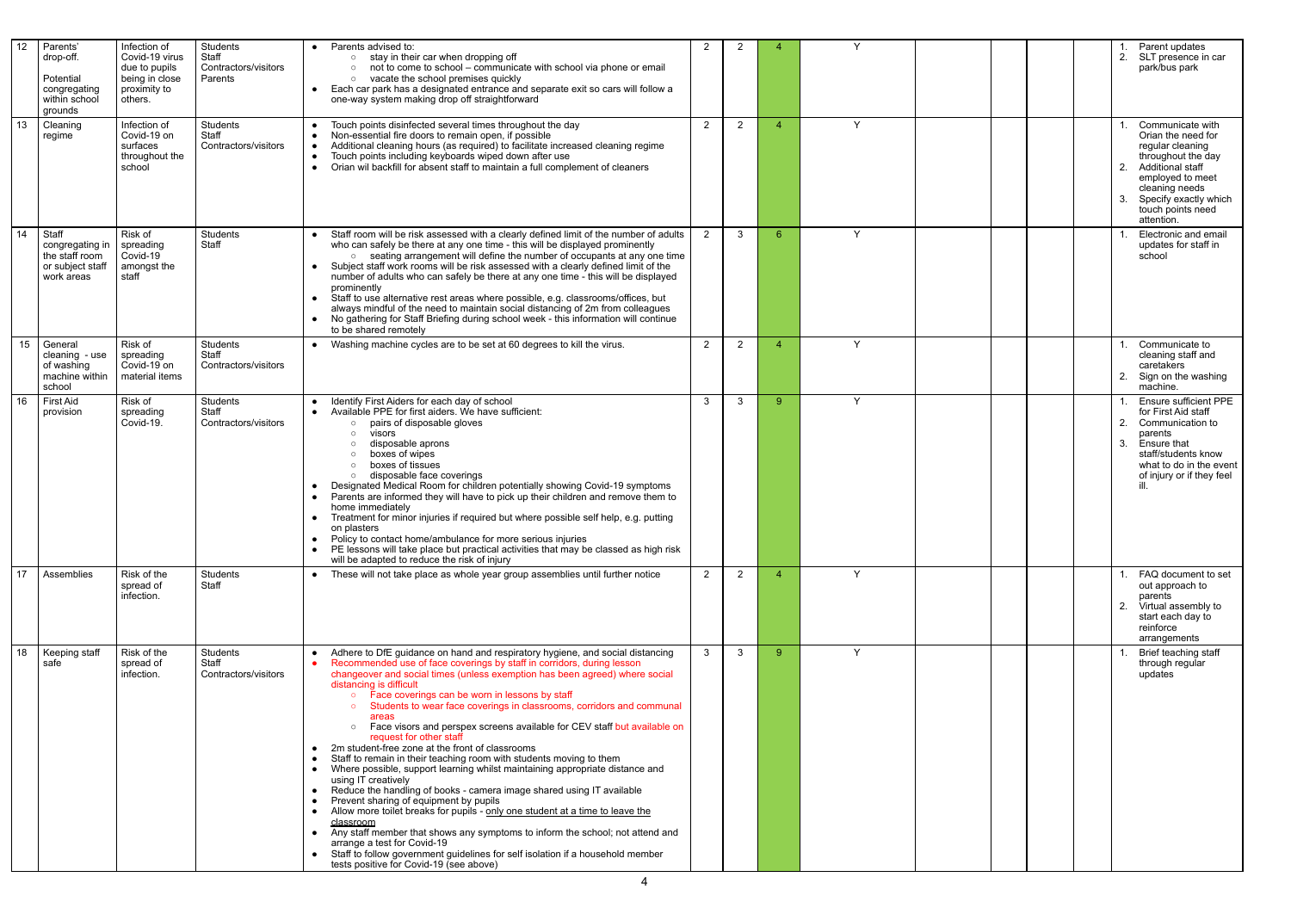| $\overline{12}$ | Parents'<br>drop-off.<br>Potential<br>congregating<br>within school<br>grounds | Infection of<br>Covid-19 virus<br>due to pupils<br>being in close<br>proximity to<br>others. | Students<br>Staff<br>Contractors/visitors<br>Parents | Parents advised to:<br>stay in their car when dropping off<br>not to come to school - communicate with school via phone or email<br>$\circ$<br>vacate the school premises quickly<br>$\circ$<br>Each car park has a designated entrance and separate exit so cars will follow a<br>one-way system making drop off straightforward                                                                                                                                                                                                                                                                                                                                                                                                                                                                                                                                                                                                                                                                                                                                                                                                                                                                                 | $\overline{2}$ | $\overline{2}$ |    | <b>Y</b>     |  | Parent updates<br>SLT presence in car<br>2.<br>park/bus park                                                                                                                                                        |
|-----------------|--------------------------------------------------------------------------------|----------------------------------------------------------------------------------------------|------------------------------------------------------|-------------------------------------------------------------------------------------------------------------------------------------------------------------------------------------------------------------------------------------------------------------------------------------------------------------------------------------------------------------------------------------------------------------------------------------------------------------------------------------------------------------------------------------------------------------------------------------------------------------------------------------------------------------------------------------------------------------------------------------------------------------------------------------------------------------------------------------------------------------------------------------------------------------------------------------------------------------------------------------------------------------------------------------------------------------------------------------------------------------------------------------------------------------------------------------------------------------------|----------------|----------------|----|--------------|--|---------------------------------------------------------------------------------------------------------------------------------------------------------------------------------------------------------------------|
| 13              | Cleaning<br>regime                                                             | Infection of<br>Covid-19 on<br>surfaces<br>throughout the<br>school                          | Students<br>Staff<br>Contractors/visitors            | Touch points disinfected several times throughout the day<br>Non-essential fire doors to remain open, if possible<br>Additional cleaning hours (as required) to facilitate increased cleaning regime<br>Touch points including keyboards wiped down after use<br>Orian wil backfill for absent staff to maintain a full complement of cleaners                                                                                                                                                                                                                                                                                                                                                                                                                                                                                                                                                                                                                                                                                                                                                                                                                                                                    | $\overline{2}$ | $\overline{2}$ |    | Y            |  | Communicate with<br>Orian the need for<br>regular cleaning<br>throughout the day<br><b>Additional staff</b><br>2.<br>employed to meet<br>cleaning needs<br>Specify exactly which<br>touch points need<br>attention. |
| 14              | Staff<br>congregating in<br>the staff room<br>or subject staff<br>work areas   | Risk of<br>spreading<br>Covid-19<br>amongst the<br>staff                                     | Students<br>Staff                                    | Staff room will be risk assessed with a clearly defined limit of the number of adults<br>who can safely be there at any one time - this will be displayed prominently<br>o seating arrangement will define the number of occupants at any one time<br>Subject staff work rooms will be risk assessed with a clearly defined limit of the<br>number of adults who can safely be there at any one time - this will be displayed<br>prominently<br>Staff to use alternative rest areas where possible, e.g. classrooms/offices, but<br>always mindful of the need to maintain social distancing of 2m from colleagues<br>No gathering for Staff Briefing during school week - this information will continue<br>to be shared remotely                                                                                                                                                                                                                                                                                                                                                                                                                                                                                | $\overline{2}$ | $\mathbf{3}$   | -6 | Y            |  | Electronic and email<br>updates for staff in<br>school                                                                                                                                                              |
| 15              | General<br>cleaning - use<br>of washing<br>machine within<br>school            | Risk of<br>spreading<br>Covid-19 on<br>material items                                        | Students<br>Staff<br>Contractors/visitors            | Washing machine cycles are to be set at 60 degrees to kill the virus.                                                                                                                                                                                                                                                                                                                                                                                                                                                                                                                                                                                                                                                                                                                                                                                                                                                                                                                                                                                                                                                                                                                                             | $\overline{2}$ | $\overline{2}$ |    | $\checkmark$ |  | Communicate to<br>cleaning staff and<br>caretakers<br>Sign on the washing<br>machine.                                                                                                                               |
| 16              | <b>First Aid</b><br>provision                                                  | Risk of<br>spreading<br>Covid-19.                                                            | Students<br>Staff<br>Contractors/visitors            | Identify First Aiders for each day of school<br>Available PPE for first aiders. We have sufficient:<br>pairs of disposable gloves<br>$\circ$<br>visors<br>$\circ$<br>disposable aprons<br>boxes of wipes<br>boxes of tissues<br>disposable face coverings<br>$\circ$<br>Designated Medical Room for children potentially showing Covid-19 symptoms<br>Parents are informed they will have to pick up their children and remove them to<br>home immediately<br>Treatment for minor injuries if required but where possible self help, e.g. putting<br>$\bullet$<br>on plasters<br>Policy to contact home/ambulance for more serious injuries<br>PE lessons will take place but practical activities that may be classed as high risk<br>will be adapted to reduce the risk of injury                                                                                                                                                                                                                                                                                                                                                                                                                               | $\mathbf{3}$   | $\mathbf{3}$   | -9 | Y            |  | Ensure sufficient PPE<br>for First Aid staff<br>Communication to<br>2.<br>parents<br>Ensure that<br>3.<br>staff/students know<br>what to do in the event<br>of injury or if they feel                               |
| 17              | Assemblies                                                                     | Risk of the<br>spread of<br>infection.                                                       | Students<br>Staff                                    | These will not take place as whole year group assemblies until further notice                                                                                                                                                                                                                                                                                                                                                                                                                                                                                                                                                                                                                                                                                                                                                                                                                                                                                                                                                                                                                                                                                                                                     | $\overline{2}$ | $2^{\circ}$    |    | Y            |  | FAQ document to set<br>out approach to<br>parents<br>Virtual assembly to<br>2.<br>start each day to<br>reinforce<br>arrangements                                                                                    |
| 18              | Keeping staff<br>safe                                                          | Risk of the<br>spread of<br>infection.                                                       | Students<br>Staff<br>Contractors/visitors            | Adhere to DfE guidance on hand and respiratory hygiene, and social distancing<br>Recommended use of face coverings by staff in corridors, during lesson<br>changeover and social times (unless exemption has been agreed) where social<br>distancing is difficult<br>• Face coverings can be worn in lessons by staff<br>o Students to wear face coverings in classrooms, corridors and communal<br>areas<br>o Face visors and perspex screens available for CEV staff but available on<br>request for other staff<br>2m student-free zone at the front of classrooms<br>Staff to remain in their teaching room with students moving to them<br>Where possible, support learning whilst maintaining appropriate distance and<br>using IT creatively<br>Reduce the handling of books - camera image shared using IT available<br>Prevent sharing of equipment by pupils<br>Allow more toilet breaks for pupils - only one student at a time to leave the<br>classroom<br>Any staff member that shows any symptoms to inform the school; not attend and<br>arrange a test for Covid-19<br>Staff to follow government guidelines for self isolation if a household member<br>tests positive for Covid-19 (see above) | 3              | $\mathbf{3}$   | -9 | Y            |  | Brief teaching staff<br>through regular<br>updates                                                                                                                                                                  |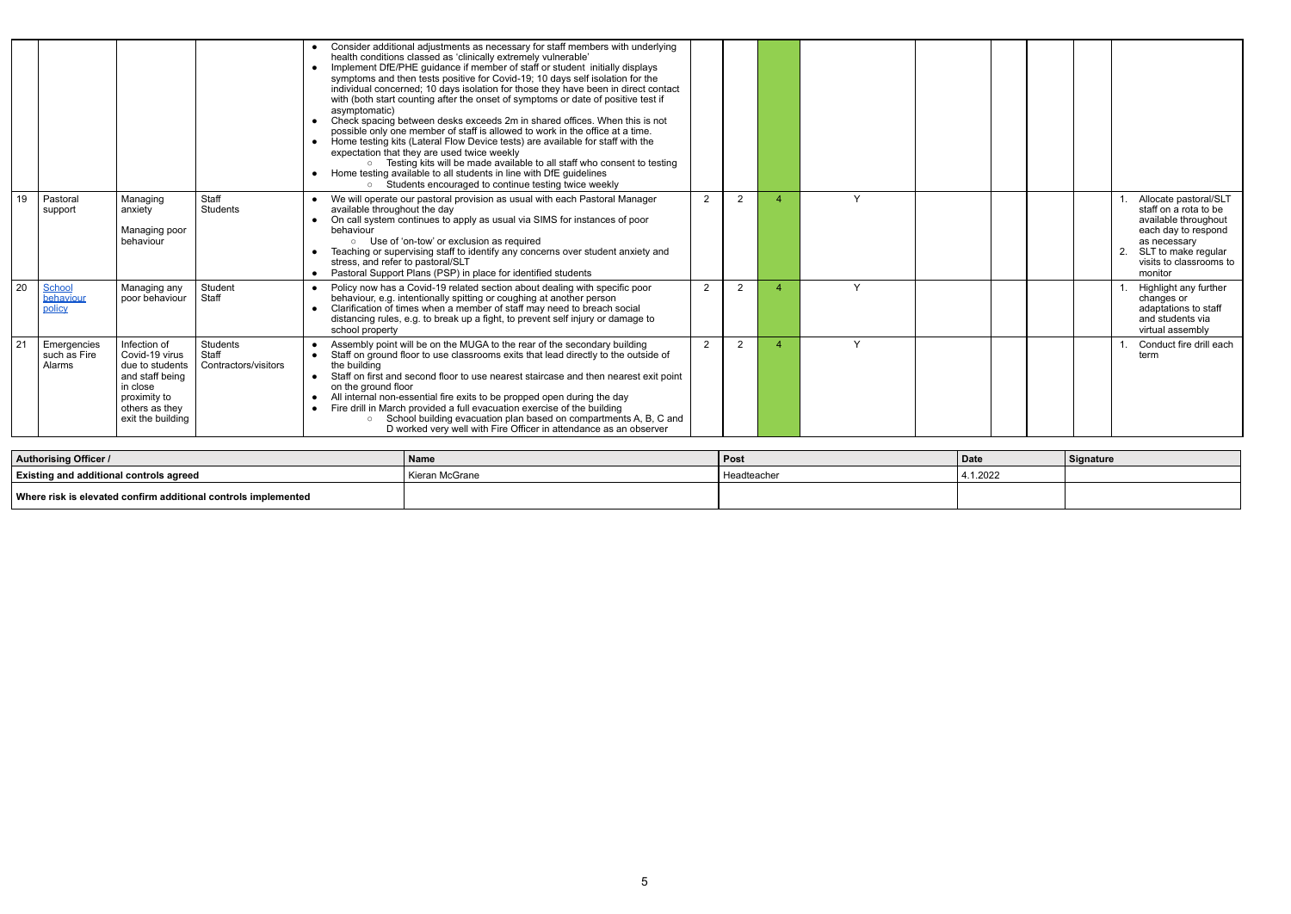|                |                                              |                                                                                                                                         |                                           | Consider additional adjustments as necessary for staff members with underlying<br>health conditions classed as 'clinically extremely vulnerable'<br>Implement DfE/PHE guidance if member of staff or student initially displays<br>$\bullet$<br>symptoms and then tests positive for Covid-19; 10 days self isolation for the<br>individual concerned; 10 days isolation for those they have been in direct contact<br>with (both start counting after the onset of symptoms or date of positive test if<br>asymptomatic)<br>Check spacing between desks exceeds 2m in shared offices. When this is not<br>$\bullet$<br>possible only one member of staff is allowed to work in the office at a time.<br>Home testing kits (Lateral Flow Device tests) are available for staff with the<br>$\bullet$<br>expectation that they are used twice weekly<br>○ Testing kits will be made available to all staff who consent to testing<br>Home testing available to all students in line with DfE guidelines<br>Students encouraged to continue testing twice weekly |                |                |          |  |  |                                                                                                                                                                            |
|----------------|----------------------------------------------|-----------------------------------------------------------------------------------------------------------------------------------------|-------------------------------------------|----------------------------------------------------------------------------------------------------------------------------------------------------------------------------------------------------------------------------------------------------------------------------------------------------------------------------------------------------------------------------------------------------------------------------------------------------------------------------------------------------------------------------------------------------------------------------------------------------------------------------------------------------------------------------------------------------------------------------------------------------------------------------------------------------------------------------------------------------------------------------------------------------------------------------------------------------------------------------------------------------------------------------------------------------------------|----------------|----------------|----------|--|--|----------------------------------------------------------------------------------------------------------------------------------------------------------------------------|
| 19             | Pastoral<br>support                          | Managing<br>anxiety<br>Managing poor<br>behaviour                                                                                       | Staff<br>Students                         | • We will operate our pastoral provision as usual with each Pastoral Manager<br>available throughout the day<br>On call system continues to apply as usual via SIMS for instances of poor<br>$\bullet$<br>behaviour<br>○ Use of 'on-tow' or exclusion as required<br>Teaching or supervising staff to identify any concerns over student anxiety and<br>stress, and refer to pastoral/SLT<br>Pastoral Support Plans (PSP) in place for identified students<br>$\bullet$                                                                                                                                                                                                                                                                                                                                                                                                                                                                                                                                                                                        | $\overline{2}$ | $\overline{2}$ | Y        |  |  | Allocate pastoral/SLT<br>staff on a rota to be<br>available throughout<br>each day to respond<br>as necessary<br>SLT to make regular<br>visits to classrooms to<br>monitor |
| 20             | School<br>behaviour<br>policy                | Managing any<br>poor behaviour                                                                                                          | Student<br>Staff                          | Policy now has a Covid-19 related section about dealing with specific poor<br>behaviour, e.g. intentionally spitting or coughing at another person<br>Clarification of times when a member of staff may need to breach social<br>$\bullet$<br>distancing rules, e.g. to break up a fight, to prevent self injury or damage to<br>school property                                                                                                                                                                                                                                                                                                                                                                                                                                                                                                                                                                                                                                                                                                               | 2              | $\overline{2}$ | <b>Y</b> |  |  | Highlight any further<br>changes or<br>adaptations to staff<br>and students via<br>virtual assembly                                                                        |
| 2 <sup>1</sup> | Emergencies<br>such as Fire<br><b>Alarms</b> | Infection of<br>Covid-19 virus<br>due to students<br>and staff being<br>in close<br>proximity to<br>others as they<br>exit the building | Students<br>Staff<br>Contractors/visitors | Assembly point will be on the MUGA to the rear of the secondary building<br>Staff on ground floor to use classrooms exits that lead directly to the outside of<br>the building<br>Staff on first and second floor to use nearest staircase and then nearest exit point<br>$\bullet$<br>on the ground floor<br>All internal non-essential fire exits to be propped open during the day<br>Fire drill in March provided a full evacuation exercise of the building<br>School building evacuation plan based on compartments A, B, C and<br>$\circ$<br>D worked very well with Fire Officer in attendance as an observer                                                                                                                                                                                                                                                                                                                                                                                                                                          | $\overline{2}$ | $\overline{2}$ | Y        |  |  | Conduct fire drill each<br>term                                                                                                                                            |

| <b>Authorising Officer /</b>                                   | Name           | l Post      | ∣ Date   | Signature |
|----------------------------------------------------------------|----------------|-------------|----------|-----------|
| <b>Existing and additional controls agreed</b>                 | Kieran McGrane | Headteacher | 4.1.2022 |           |
| Where risk is elevated confirm additional controls implemented |                |             |          |           |